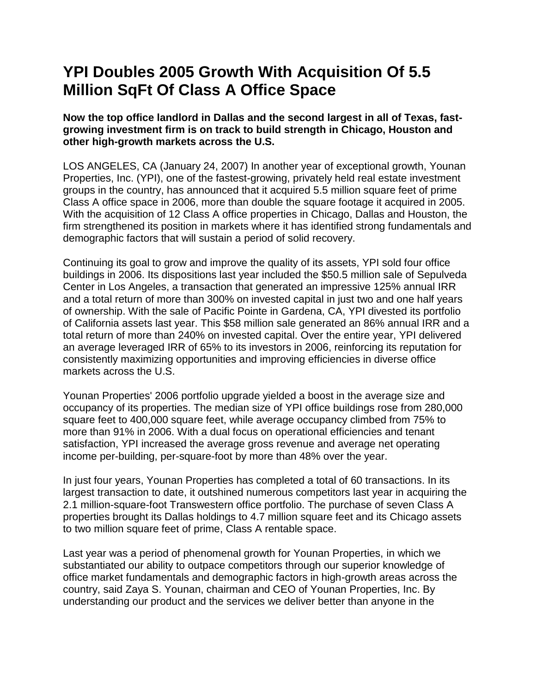# **YPI Doubles 2005 Growth With Acquisition Of 5.5 Million SqFt Of Class A Office Space**

**Now the top office landlord in Dallas and the second largest in all of Texas, fastgrowing investment firm is on track to build strength in Chicago, Houston and other high-growth markets across the U.S.** 

LOS ANGELES, CA (January 24, 2007) In another year of exceptional growth, Younan Properties, Inc. (YPI), one of the fastest-growing, privately held real estate investment groups in the country, has announced that it acquired 5.5 million square feet of prime Class A office space in 2006, more than double the square footage it acquired in 2005. With the acquisition of 12 Class A office properties in Chicago, Dallas and Houston, the firm strengthened its position in markets where it has identified strong fundamentals and demographic factors that will sustain a period of solid recovery.

Continuing its goal to grow and improve the quality of its assets, YPI sold four office buildings in 2006. Its dispositions last year included the \$50.5 million sale of Sepulveda Center in Los Angeles, a transaction that generated an impressive 125% annual IRR and a total return of more than 300% on invested capital in just two and one half years of ownership. With the sale of Pacific Pointe in Gardena, CA, YPI divested its portfolio of California assets last year. This \$58 million sale generated an 86% annual IRR and a total return of more than 240% on invested capital. Over the entire year, YPI delivered an average leveraged IRR of 65% to its investors in 2006, reinforcing its reputation for consistently maximizing opportunities and improving efficiencies in diverse office markets across the U.S.

Younan Properties' 2006 portfolio upgrade yielded a boost in the average size and occupancy of its properties. The median size of YPI office buildings rose from 280,000 square feet to 400,000 square feet, while average occupancy climbed from 75% to more than 91% in 2006. With a dual focus on operational efficiencies and tenant satisfaction, YPI increased the average gross revenue and average net operating income per-building, per-square-foot by more than 48% over the year.

In just four years, Younan Properties has completed a total of 60 transactions. In its largest transaction to date, it outshined numerous competitors last year in acquiring the 2.1 million-square-foot Transwestern office portfolio. The purchase of seven Class A properties brought its Dallas holdings to 4.7 million square feet and its Chicago assets to two million square feet of prime, Class A rentable space.

Last year was a period of phenomenal growth for Younan Properties, in which we substantiated our ability to outpace competitors through our superior knowledge of office market fundamentals and demographic factors in high-growth areas across the country, said Zaya S. Younan, chairman and CEO of Younan Properties, Inc. By understanding our product and the services we deliver better than anyone in the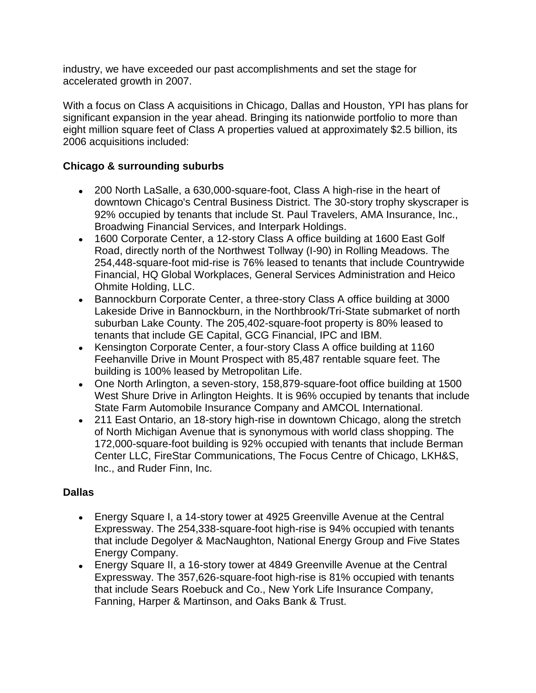industry, we have exceeded our past accomplishments and set the stage for accelerated growth in 2007.

With a focus on Class A acquisitions in Chicago, Dallas and Houston, YPI has plans for significant expansion in the year ahead. Bringing its nationwide portfolio to more than eight million square feet of Class A properties valued at approximately \$2.5 billion, its 2006 acquisitions included:

## **Chicago & surrounding suburbs**

- 200 North LaSalle, a 630,000-square-foot, Class A high-rise in the heart of downtown Chicago's Central Business District. The 30-story trophy skyscraper is 92% occupied by tenants that include St. Paul Travelers, AMA Insurance, Inc., Broadwing Financial Services, and Interpark Holdings.
- 1600 Corporate Center, a 12-story Class A office building at 1600 East Golf Road, directly north of the Northwest Tollway (I-90) in Rolling Meadows. The 254,448-square-foot mid-rise is 76% leased to tenants that include Countrywide Financial, HQ Global Workplaces, General Services Administration and Heico Ohmite Holding, LLC.
- Bannockburn Corporate Center, a three-story Class A office building at 3000 Lakeside Drive in Bannockburn, in the Northbrook/Tri-State submarket of north suburban Lake County. The 205,402-square-foot property is 80% leased to tenants that include GE Capital, GCG Financial, IPC and IBM.
- Kensington Corporate Center, a four-story Class A office building at 1160 Feehanville Drive in Mount Prospect with 85,487 rentable square feet. The building is 100% leased by Metropolitan Life.
- One North Arlington, a seven-story, 158,879-square-foot office building at 1500 West Shure Drive in Arlington Heights. It is 96% occupied by tenants that include State Farm Automobile Insurance Company and AMCOL International.
- 211 East Ontario, an 18-story high-rise in downtown Chicago, along the stretch of North Michigan Avenue that is synonymous with world class shopping. The 172,000-square-foot building is 92% occupied with tenants that include Berman Center LLC, FireStar Communications, The Focus Centre of Chicago, LKH&S, Inc., and Ruder Finn, Inc.

### **Dallas**

- Energy Square I, a 14-story tower at 4925 Greenville Avenue at the Central Expressway. The 254,338-square-foot high-rise is 94% occupied with tenants that include Degolyer & MacNaughton, National Energy Group and Five States Energy Company.
- Energy Square II, a 16-story tower at 4849 Greenville Avenue at the Central Expressway. The 357,626-square-foot high-rise is 81% occupied with tenants that include Sears Roebuck and Co., New York Life Insurance Company, Fanning, Harper & Martinson, and Oaks Bank & Trust.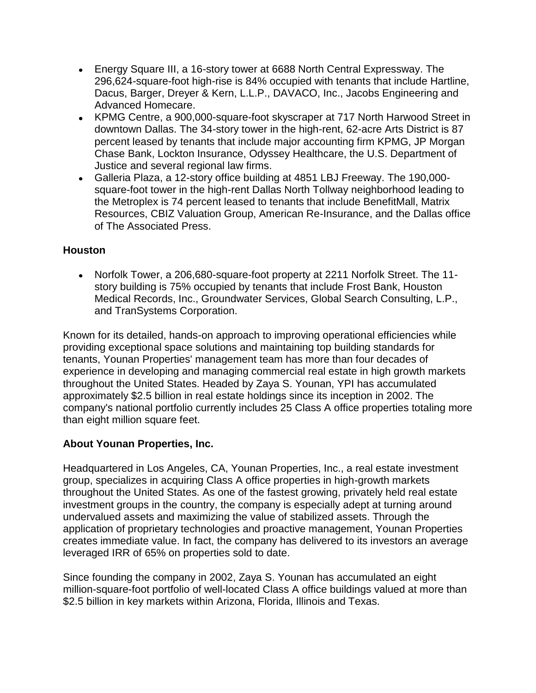- Energy Square III, a 16-story tower at 6688 North Central Expressway. The 296,624-square-foot high-rise is 84% occupied with tenants that include Hartline, Dacus, Barger, Dreyer & Kern, L.L.P., DAVACO, Inc., Jacobs Engineering and Advanced Homecare.
- KPMG Centre, a 900,000-square-foot skyscraper at 717 North Harwood Street in downtown Dallas. The 34-story tower in the high-rent, 62-acre Arts District is 87 percent leased by tenants that include major accounting firm KPMG, JP Morgan Chase Bank, Lockton Insurance, Odyssey Healthcare, the U.S. Department of Justice and several regional law firms.
- Galleria Plaza, a 12-story office building at 4851 LBJ Freeway. The 190,000 square-foot tower in the high-rent Dallas North Tollway neighborhood leading to the Metroplex is 74 percent leased to tenants that include BenefitMall, Matrix Resources, CBIZ Valuation Group, American Re-Insurance, and the Dallas office of The Associated Press.

### **Houston**

Norfolk Tower, a 206,680-square-foot property at 2211 Norfolk Street. The 11 story building is 75% occupied by tenants that include Frost Bank, Houston Medical Records, Inc., Groundwater Services, Global Search Consulting, L.P., and TranSystems Corporation.

Known for its detailed, hands-on approach to improving operational efficiencies while providing exceptional space solutions and maintaining top building standards for tenants, Younan Properties' management team has more than four decades of experience in developing and managing commercial real estate in high growth markets throughout the United States. Headed by Zaya S. Younan, YPI has accumulated approximately \$2.5 billion in real estate holdings since its inception in 2002. The company's national portfolio currently includes 25 Class A office properties totaling more than eight million square feet.

### **About Younan Properties, Inc.**

Headquartered in Los Angeles, CA, Younan Properties, Inc., a real estate investment group, specializes in acquiring Class A office properties in high-growth markets throughout the United States. As one of the fastest growing, privately held real estate investment groups in the country, the company is especially adept at turning around undervalued assets and maximizing the value of stabilized assets. Through the application of proprietary technologies and proactive management, Younan Properties creates immediate value. In fact, the company has delivered to its investors an average leveraged IRR of 65% on properties sold to date.

Since founding the company in 2002, Zaya S. Younan has accumulated an eight million-square-foot portfolio of well-located Class A office buildings valued at more than \$2.5 billion in key markets within Arizona, Florida, Illinois and Texas.